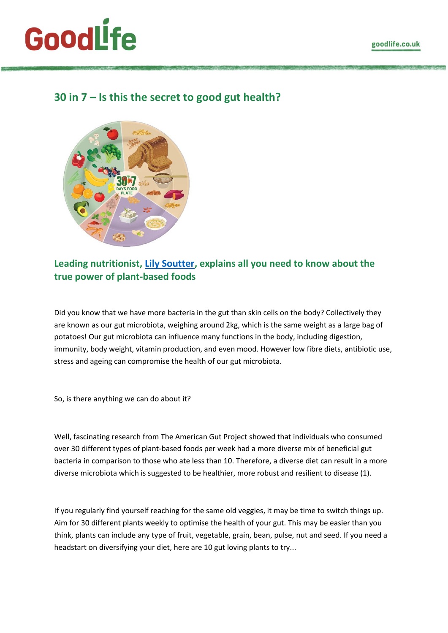# **GoodLife**

# **30 in 7 – Is this the secret to good gut health?**



# **Leading nutritionist, [Lily Soutter,](https://lilysoutternutrition.com/) explains all you need to know about the true power of plant-based foods**

Did you know that we have more bacteria in the gut than skin cells on the body? Collectively they are known as our gut microbiota, weighing around 2kg, which is the same weight as a large bag of potatoes! Our gut microbiota can influence many functions in the body, including digestion, immunity, body weight, vitamin production, and even mood. However low fibre diets, antibiotic use, stress and ageing can compromise the health of our gut microbiota.

So, is there anything we can do about it?

Well, fascinating research from The American Gut Project showed that individuals who consumed over 30 different types of plant-based foods per week had a more diverse mix of beneficial gut bacteria in comparison to those who ate less than 10. Therefore, a diverse diet can result in a more diverse microbiota which is suggested to be healthier, more robust and resilient to disease (1).

If you regularly find yourself reaching for the same old veggies, it may be time to switch things up. Aim for 30 different plants weekly to optimise the health of your gut. This may be easier than you think, plants can include any type of fruit, vegetable, grain, bean, pulse, nut and seed. If you need a headstart on diversifying your diet, here are 10 gut loving plants to try...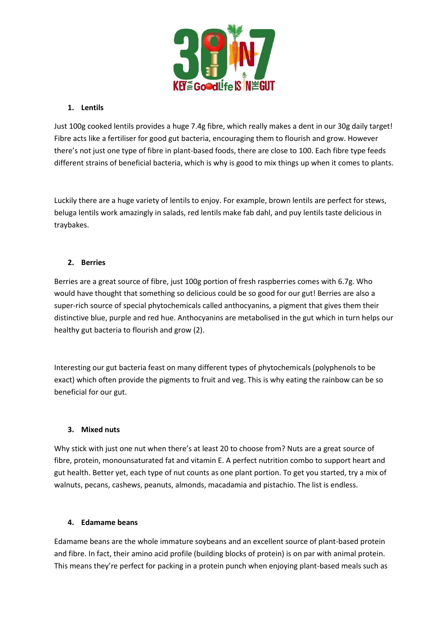

# **1. Lentils**

Just 100g cooked lentils provides a huge 7.4g fibre, which really makes a dent in our 30g daily target! Fibre acts like a fertiliser for good gut bacteria, encouraging them to flourish and grow. However there's not just one type of fibre in plant-based foods, there are close to 100. Each fibre type feeds different strains of beneficial bacteria, which is why is good to mix things up when it comes to plants.

Luckily there are a huge variety of lentils to enjoy. For example, brown lentils are perfect for stews, beluga lentils work amazingly in salads, red lentils make fab dahl, and puy lentils taste delicious in traybakes.

# **2. Berries**

Berries are a great source of fibre, just 100g portion of fresh raspberries comes with 6.7g. Who would have thought that something so delicious could be so good for our gut! Berries are also a super-rich source of special phytochemicals called anthocyanins, a pigment that gives them their distinctive blue, purple and red hue. Anthocyanins are metabolised in the gut which in turn helps our healthy gut bacteria to flourish and grow (2).

Interesting our gut bacteria feast on many different types of phytochemicals (polyphenols to be exact) which often provide the pigments to fruit and veg. This is why eating the rainbow can be so beneficial for our gut.

# **3. Mixed nuts**

Why stick with just one nut when there's at least 20 to choose from? Nuts are a great source of fibre, protein, monounsaturated fat and vitamin E. A perfect nutrition combo to support heart and gut health. Better yet, each type of nut counts as one plant portion. To get you started, try a mix of walnuts, pecans, cashews, peanuts, almonds, macadamia and pistachio. The list is endless.

# **4. Edamame beans**

Edamame beans are the whole immature soybeans and an excellent source of plant-based protein and fibre. In fact, their amino acid profile (building blocks of protein) is on par with animal protein. This means they're perfect for packing in a protein punch when enjoying plant-based meals such as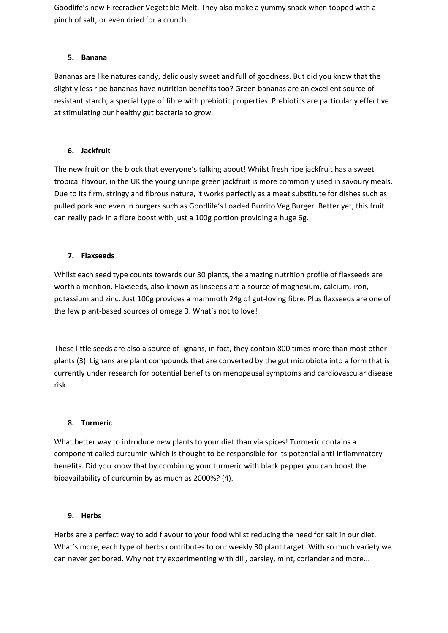Goodlife's new Firecracker Vegetable Melt. They also make a yummy snack when topped with a pinch of salt, or even dried for a crunch.

# **5. Banana**

Bananas are like natures candy, deliciously sweet and full of goodness. But did you know that the slightly less ripe bananas have nutrition benefits too? Green bananas are an excellent source of resistant starch, a special type of fibre with prebiotic properties. Prebiotics are particularly effective at stimulating our healthy gut bacteria to grow.

# **6. Jackfruit**

The new fruit on the block that everyone's talking about! Whilst fresh ripe jackfruit has a sweet tropical flavour, in the UK the young unripe green jackfruit is more commonly used in savoury meals. Due to its firm, stringy and fibrous nature, it works perfectly as a meat substitute for dishes such as pulled pork and even in burgers such as Goodlife's Loaded Burrito Veg Burger. Better yet, this fruit can really pack in a fibre boost with just a 100g portion providing a huge 6g.

# **7. Flaxseeds**

Whilst each seed type counts towards our 30 plants, the amazing nutrition profile of flaxseeds are worth a mention. Flaxseeds, also known as linseeds are a source of magnesium, calcium, iron, potassium and zinc. Just 100g provides a mammoth 24g of gut-loving fibre. Plus flaxseeds are one of the few plant-based sources of omega 3. What's not to love!

These little seeds are also a source of lignans, in fact, they contain 800 times more than most other plants (3). Lignans are plant compounds that are converted by the gut microbiota into a form that is currently under research for potential benefits on menopausal symptoms and cardiovascular disease risk.

# **8. Turmeric**

What better way to introduce new plants to your diet than via spices! Turmeric contains a component called curcumin which is thought to be responsible for its potential anti-inflammatory benefits. Did you know that by combining your turmeric with black pepper you can boost the bioavailability of curcumin by as much as 2000%? (4).

# **9. Herbs**

Herbs are a perfect way to add flavour to your food whilst reducing the need for salt in our diet. What's more, each type of herbs contributes to our weekly 30 plant target. With so much variety we can never get bored. Why not try experimenting with dill, parsley, mint, coriander and more...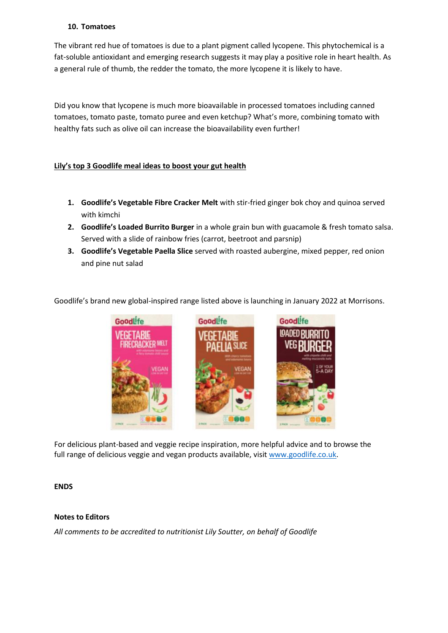#### **10. Tomatoes**

The vibrant red hue of tomatoes is due to a plant pigment called lycopene. This phytochemical is a fat-soluble antioxidant and emerging research suggests it may play a positive role in heart health. As a general rule of thumb, the redder the tomato, the more lycopene it is likely to have.

Did you know that lycopene is much more bioavailable in processed tomatoes including canned tomatoes, tomato paste, tomato puree and even ketchup? What's more, combining tomato with healthy fats such as olive oil can increase the bioavailability even further!

# **Lily's top 3 Goodlife meal ideas to boost your gut health**

- **1. Goodlife's Vegetable Fibre Cracker Melt** with stir-fried ginger bok choy and quinoa served with kimchi
- **2. Goodlife's Loaded Burrito Burger** in a whole grain bun with guacamole & fresh tomato salsa. Served with a slide of rainbow fries (carrot, beetroot and parsnip)
- **3. Goodlife's Vegetable Paella Slice** served with roasted aubergine, mixed pepper, red onion and pine nut salad

Goodlife's brand new global-inspired range listed above is launching in January 2022 at Morrisons.



For delicious plant-based and veggie recipe inspiration, more helpful advice and to browse the full range of delicious veggie and vegan products available, visi[t www.goodlife.co.uk.](http://www.goodlife.co.uk/)

# **ENDS**

#### **Notes to Editors**

*All comments to be accredited to nutritionist Lily Soutter, on behalf of Goodlife*